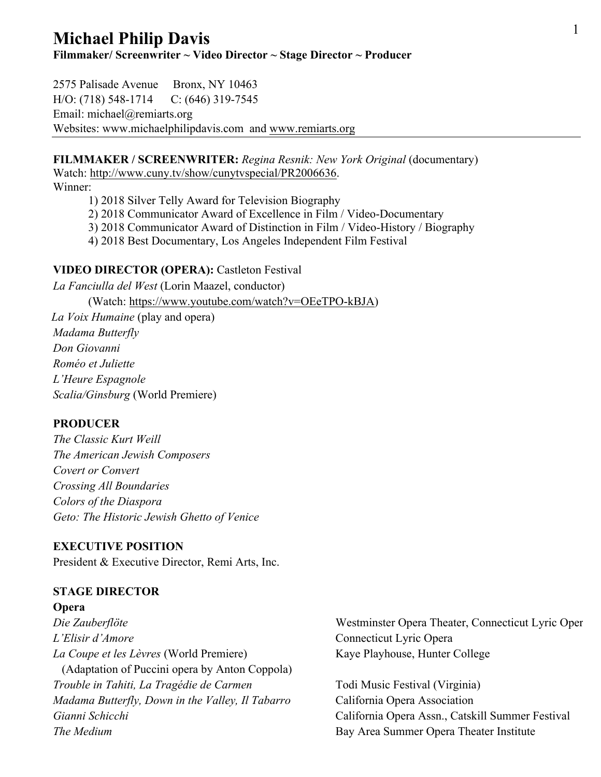# <sup>1</sup> **Michael Philip Davis**

**Filmmaker/ Screenwriter ~ Video Director ~ Stage Director ~ Producer**

2575 Palisade Avenue Bronx, NY 10463 H/O: (718) 548-1714 C: (646) 319-7545 Email: michael@remiarts.org Websites: www.michaelphilipdavis.com and www.remiarts.org

### **FILMMAKER / SCREENWRITER:** *Regina Resnik: New York Original* (documentary) Watch: http://www.cuny.tv/show/cunytvspecial/PR2006636.

Winner:

1) 2018 Silver Telly Award for Television Biography

- 2) 2018 Communicator Award of Excellence in Film / Video-Documentary
- 3) 2018 Communicator Award of Distinction in Film / Video-History / Biography
- 4) 2018 Best Documentary, Los Angeles Independent Film Festival

#### **VIDEO DIRECTOR (OPERA):** Castleton Festival

*La Fanciulla del West* (Lorin Maazel, conductor) (Watch: https://www.youtube.com/watch?v=OEeTPO-kBJA) *La Voix Humaine* (play and opera) *Madama Butterfly Don Giovanni Roméo et Juliette L'Heure Espagnole Scalia/Ginsburg* (World Premiere)

#### **PRODUCER**

*The Classic Kurt Weill The American Jewish Composers Covert or Convert Crossing All Boundaries Colors of the Diaspora Geto: The Historic Jewish Ghetto of Venice*

#### **EXECUTIVE POSITION**

President & Executive Director, Remi Arts, Inc.

#### **STAGE DIRECTOR**

**Opera** *L'Elisir d'Amore* Connecticut Lyric Opera *La Coupe et les Lèvres* (World Premiere) Kaye Playhouse, Hunter College (Adaptation of Puccini opera by Anton Coppola) *Trouble in Tahiti, La Tragédie de Carmen* Todi Music Festival (Virginia) *Madama Butterfly, Down in the Valley, Il Tabarro* California Opera Association **The Medium Bay Area Summer Opera Theater Institute** 

*Die Zauberflöte* Westminster Opera Theater, Connecticut Lyric Opera

*Gianni Schicchi* California Opera Assn., Catskill Summer Festival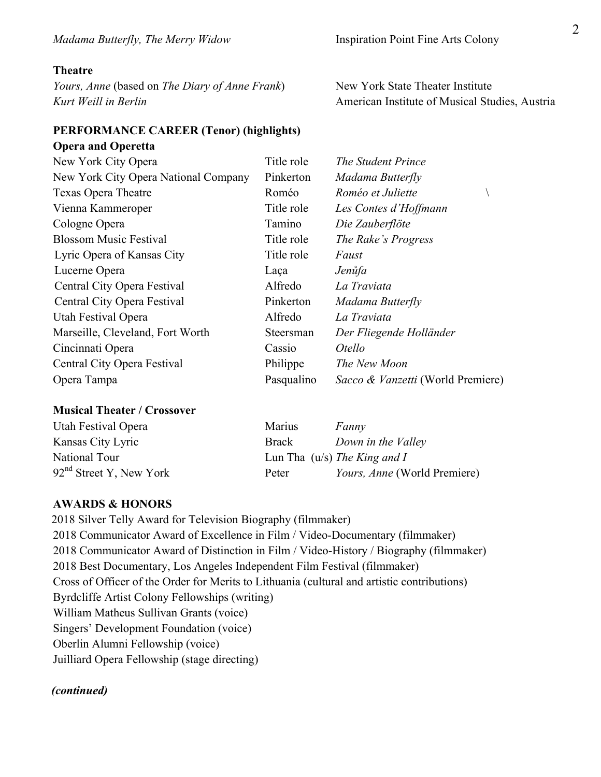#### **Theatre**

 **Opera and Operetta**

*Yours, Anne* (based on *The Diary of Anne Frank*) New York State Theater Institute *Kurt Weill in Berlin* **American Institute of Musical Studies**, Austria

#### **PERFORMANCE CAREER (Tenor) (highlights)**

| New York City Opera                  | Title role | The Student Prince                |
|--------------------------------------|------------|-----------------------------------|
| New York City Opera National Company | Pinkerton  | Madama Butterfly                  |
| <b>Texas Opera Theatre</b>           | Roméo      | Roméo et Juliette                 |
| Vienna Kammeroper                    | Title role | Les Contes d'Hoffmann             |
| Cologne Opera                        | Tamino     | Die Zauberflöte                   |
| <b>Blossom Music Festival</b>        | Title role | The Rake's Progress               |
| Lyric Opera of Kansas City           | Title role | Faust                             |
| Lucerne Opera                        | Laça       | Jenůfa                            |
| Central City Opera Festival          | Alfredo    | La Traviata                       |
| Central City Opera Festival          | Pinkerton  | Madama Butterfly                  |
| Utah Festival Opera                  | Alfredo    | La Traviata                       |
| Marseille, Cleveland, Fort Worth     | Steersman  | Der Fliegende Holländer           |
| Cincinnati Opera                     | Cassio     | <i>Otello</i>                     |
| Central City Opera Festival          | Philippe   | The New Moon                      |
| Opera Tampa                          | Pasqualino | Sacco & Vanzetti (World Premiere) |

| Utah Festival Opera       | Marius | Fanny                               |
|---------------------------|--------|-------------------------------------|
| Kansas City Lyric         | Brack  | Down in the Valley                  |
| National Tour             |        | Lun Tha $(u/s)$ The King and I      |
| $92nd$ Street Y, New York | Peter  | <i>Yours, Anne</i> (World Premiere) |

#### **AWARDS & HONORS**

2018 Silver Telly Award for Television Biography (filmmaker) 2018 Communicator Award of Excellence in Film / Video-Documentary (filmmaker) 2018 Communicator Award of Distinction in Film / Video-History / Biography (filmmaker) 2018 Best Documentary, Los Angeles Independent Film Festival (filmmaker) Cross of Officer of the Order for Merits to Lithuania (cultural and artistic contributions) Byrdcliffe Artist Colony Fellowships (writing) William Matheus Sullivan Grants (voice) Singers' Development Foundation (voice) Oberlin Alumni Fellowship (voice) Juilliard Opera Fellowship (stage directing)

#### *(continued)*